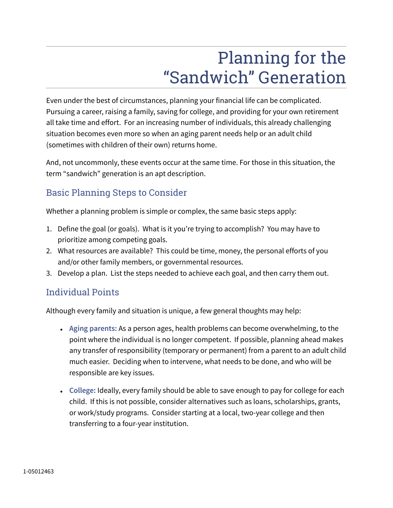# Planning for the "Sandwich" Generation

Even under the best of circumstances, planning your financial life can be complicated. Pursuing a career, raising a family, saving for college, and providing for your own retirement all take time and effort. For an increasing number of individuals, this already challenging situation becomes even more so when an aging parent needs help or an adult child (sometimes with children of their own) returns home.

And, not uncommonly, these events occur at the same time. For those in this situation, the term "sandwich" generation is an apt description.

### Basic Planning Steps to Consider

Whether a planning problem is simple or complex, the same basic steps apply:

- 1. Define the goal (or goals). What is it you're trying to accomplish? You may have to prioritize among competing goals.
- 2. What resources are available? This could be time, money, the personal efforts of you and/or other family members, or governmental resources.
- 3. Develop a plan. List the steps needed to achieve each goal, and then carry them out.

#### Individual Points

Although every family and situation is unique, a few general thoughts may help:

- **Aging parents:** As a person ages, health problems can become overwhelming, to the point where the individual is no longer competent. If possible, planning ahead makes any transfer of responsibility (temporary or permanent) from a parent to an adult child much easier. Deciding when to intervene, what needs to be done, and who will be responsible are key issues.
- College: Ideally, every family should be able to save enough to pay for college for each child. If this is not possible, consider alternatives such as loans, scholarships, grants, or work/study programs. Consider starting at a local, two-year college and then transferring to a four-year institution.